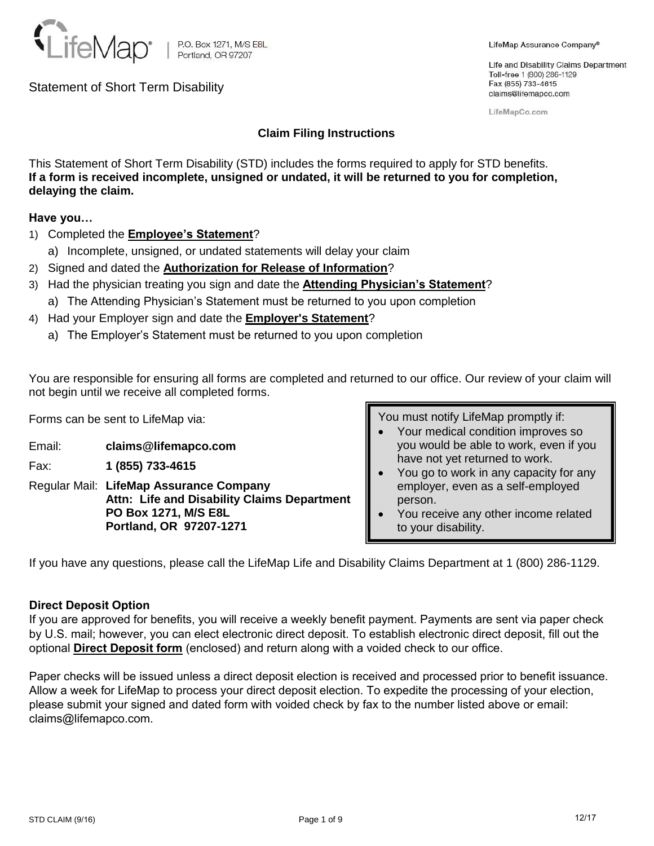

Life and Disability Claims Department Toll-free 1 (800) 286-1129 Fax (855) 733-4615 claims@lifemapco.com

LifeMapCo.com

# **Claim Filing Instructions**

This Statement of Short Term Disability (STD) includes the forms required to apply for STD benefits. **If a form is received incomplete, unsigned or undated, it will be returned to you for completion, delaying the claim.** 

**Have you…**

- 1) Completed the **Employee's Statement**?
	- a) Incomplete, unsigned, or undated statements will delay your claim
- 2) Signed and dated the **Authorization for Release of Information**?
- 3) Had the physician treating you sign and date the **Attending Physician's Statement**?
	- a) The Attending Physician's Statement must be returned to you upon completion
- 4) Had your Employer sign and date the **Employer's Statement**?
	- a) The Employer's Statement must be returned to you upon completion

You are responsible for ensuring all forms are completed and returned to our office. Our review of your claim will not begin until we receive all completed forms.

Forms can be sent to LifeMap via:

- Email: **claims@lifemapco.com**
- Fax: **1 (855) 733-4615**
- Regular Mail: **LifeMap Assurance Company Attn: Life and Disability Claims Department PO Box 1271, M/S E8L Portland, OR 97207-1271**

You must notify LifeMap promptly if:

- Your medical condition improves so you would be able to work, even if you have not yet returned to work.
- You go to work in any capacity for any employer, even as a self-employed person.
- You receive any other income related to your disability.

If you have any questions, please call the LifeMap Life and Disability Claims Department at 1 (800) 286-1129.

# **Direct Deposit Option**

If you are approved for benefits, you will receive a weekly benefit payment. Payments are sent via paper check by U.S. mail; however, you can elect electronic direct deposit. To establish electronic direct deposit, fill out the optional **Direct Deposit form** (enclosed) and return along with a voided check to our office.

Paper checks will be issued unless a direct deposit election is received and processed prior to benefit issuance. Allow a week for LifeMap to process your direct deposit election. To expedite the processing of your election, please submit your signed and dated form with voided check by fax to the number listed above or email: claims@lifemapco.com.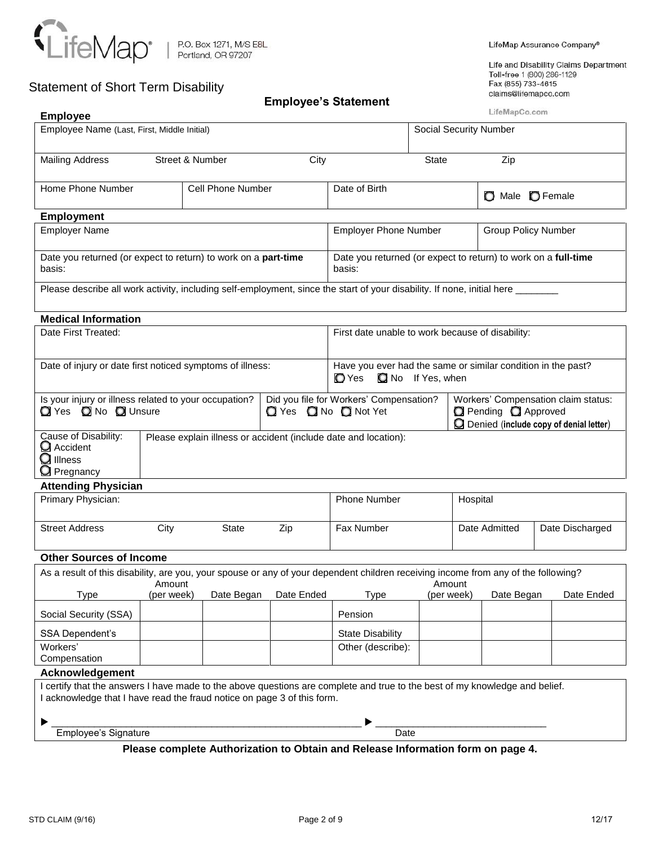

# **Employee's Statement**

LifeMap Assurance Company®

Life and Disability Claims Department Toll-free 1 (800) 286-1129<br>Fax (855) 733-4615 claims@lifemapco.com

| <b>Employee</b>                                                                                                                                                                                                                                                                    |                               |                   | בווופוט פט סעמנטווופווג |                                                                                                 |       |            | LifeMapCo.com                    |  |            |  |
|------------------------------------------------------------------------------------------------------------------------------------------------------------------------------------------------------------------------------------------------------------------------------------|-------------------------------|-------------------|-------------------------|-------------------------------------------------------------------------------------------------|-------|------------|----------------------------------|--|------------|--|
| Employee Name (Last, First, Middle Initial)                                                                                                                                                                                                                                        | <b>Social Security Number</b> |                   |                         |                                                                                                 |       |            |                                  |  |            |  |
|                                                                                                                                                                                                                                                                                    |                               |                   |                         |                                                                                                 |       |            |                                  |  |            |  |
| <b>Mailing Address</b>                                                                                                                                                                                                                                                             | Street & Number               |                   | City                    |                                                                                                 | State |            | Zip                              |  |            |  |
| Home Phone Number                                                                                                                                                                                                                                                                  |                               | Cell Phone Number |                         | Date of Birth                                                                                   |       |            | O Male <b>O</b> Female           |  |            |  |
| <b>Employment</b>                                                                                                                                                                                                                                                                  |                               |                   |                         |                                                                                                 |       |            |                                  |  |            |  |
| <b>Employer Name</b>                                                                                                                                                                                                                                                               |                               |                   |                         | <b>Employer Phone Number</b>                                                                    |       |            | <b>Group Policy Number</b>       |  |            |  |
| Date you returned (or expect to return) to work on a part-time<br>basis:                                                                                                                                                                                                           |                               |                   |                         | Date you returned (or expect to return) to work on a full-time<br>basis:                        |       |            |                                  |  |            |  |
| Please describe all work activity, including self-employment, since the start of your disability. If none, initial here ____                                                                                                                                                       |                               |                   |                         |                                                                                                 |       |            |                                  |  |            |  |
| <b>Medical Information</b>                                                                                                                                                                                                                                                         |                               |                   |                         |                                                                                                 |       |            |                                  |  |            |  |
| Date First Treated:                                                                                                                                                                                                                                                                |                               |                   |                         | First date unable to work because of disability:                                                |       |            |                                  |  |            |  |
| Date of injury or date first noticed symptoms of illness:                                                                                                                                                                                                                          |                               |                   |                         | Have you ever had the same or similar condition in the past?<br>No If Yes, when<br><b>O</b> Yes |       |            |                                  |  |            |  |
| Is your injury or illness related to your occupation?<br>Did you file for Workers' Compensation?<br>Workers' Compensation claim status:<br>◯ Yes ◯ No ◯ Unsure<br>Pending <b>Q</b> Approved<br><b>Q</b> Yes <b>Q</b> No <b>Q</b> Not Yet<br>Denied (include copy of denial letter) |                               |                   |                         |                                                                                                 |       |            |                                  |  |            |  |
| Cause of Disability:<br>Please explain illness or accident (include date and location):<br>Accident<br>$\mathbf Q$ Illness<br><b>O</b> Pregnancy                                                                                                                                   |                               |                   |                         |                                                                                                 |       |            |                                  |  |            |  |
| <b>Attending Physician</b>                                                                                                                                                                                                                                                         |                               |                   |                         |                                                                                                 |       |            |                                  |  |            |  |
| Primary Physician:                                                                                                                                                                                                                                                                 |                               |                   |                         | <b>Phone Number</b>                                                                             |       | Hospital   |                                  |  |            |  |
| <b>Street Address</b>                                                                                                                                                                                                                                                              | City                          | <b>State</b>      | Zip                     | Fax Number                                                                                      |       |            | Date Admitted<br>Date Discharged |  |            |  |
| <b>Other Sources of Income</b>                                                                                                                                                                                                                                                     |                               |                   |                         |                                                                                                 |       |            |                                  |  |            |  |
| As a result of this disability, are you, your spouse or any of your dependent children receiving income from any of the following?                                                                                                                                                 | Amount                        |                   |                         |                                                                                                 |       | Amount     |                                  |  |            |  |
| <b>Type</b>                                                                                                                                                                                                                                                                        | (per week)                    | Date Began        | Date Ended              | <b>Type</b>                                                                                     |       | (per week) | Date Began                       |  | Date Ended |  |
| Social Security (SSA)                                                                                                                                                                                                                                                              |                               |                   |                         | Pension                                                                                         |       |            |                                  |  |            |  |
| SSA Dependent's                                                                                                                                                                                                                                                                    |                               |                   |                         | <b>State Disability</b>                                                                         |       |            |                                  |  |            |  |
| Workers'<br>Compensation                                                                                                                                                                                                                                                           |                               |                   |                         | Other (describe):                                                                               |       |            |                                  |  |            |  |
| Acknowledgement                                                                                                                                                                                                                                                                    |                               |                   |                         |                                                                                                 |       |            |                                  |  |            |  |
| I certify that the answers I have made to the above questions are complete and true to the best of my knowledge and belief.<br>I acknowledge that I have read the fraud notice on page 3 of this form.                                                                             |                               |                   |                         |                                                                                                 |       |            |                                  |  |            |  |
|                                                                                                                                                                                                                                                                                    |                               |                   |                         |                                                                                                 |       |            |                                  |  |            |  |
| Employee's Signature                                                                                                                                                                                                                                                               |                               |                   |                         | Date                                                                                            |       |            |                                  |  |            |  |
|                                                                                                                                                                                                                                                                                    |                               |                   |                         | Please complete Authorization to Obtain and Release Information form on page 4.                 |       |            |                                  |  |            |  |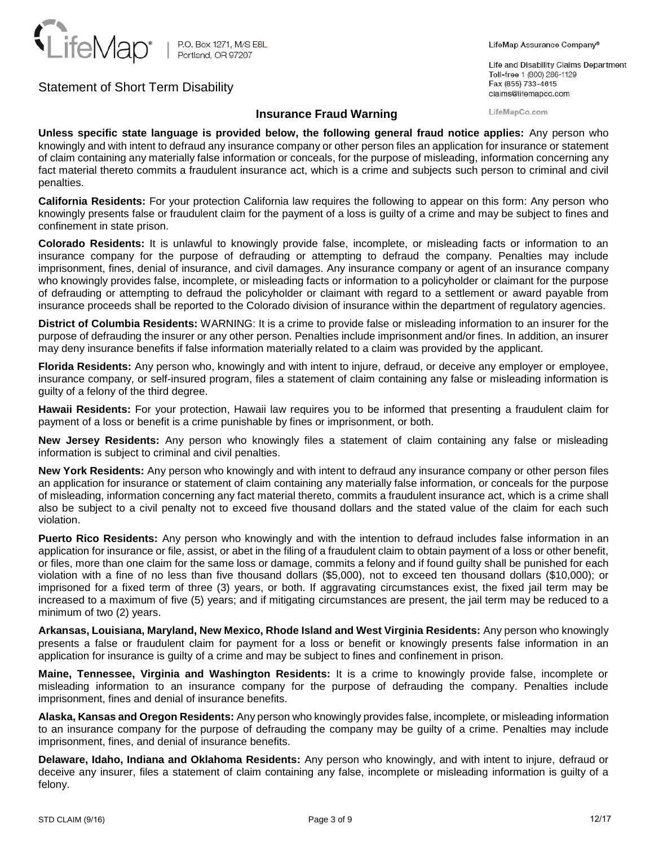

### LifeMap Assurance Company®

Life and Disability Claims Department Toll-free 1 (800) 286-1129 Fax (855) 733-4615 claims@lifemapco.com

LifeMapCo.com

## **Insurance Fraud Warning**

**Unless specific state language is provided below, the following general fraud notice applies:** Any person who knowingly and with intent to defraud any insurance company or other person files an application for insurance or statement of claim containing any materially false information or conceals, for the purpose of misleading, information concerning any fact material thereto commits a fraudulent insurance act, which is a crime and subjects such person to criminal and civil penalties.

**California Residents:** For your protection California law requires the following to appear on this form: Any person who knowingly presents false or fraudulent claim for the payment of a loss is guilty of a crime and may be subject to fines and confinement in state prison.

**Colorado Residents:** It is unlawful to knowingly provide false, incomplete, or misleading facts or information to an insurance company for the purpose of defrauding or attempting to defraud the company. Penalties may include imprisonment, fines, denial of insurance, and civil damages. Any insurance company or agent of an insurance company who knowingly provides false, incomplete, or misleading facts or information to a policyholder or claimant for the purpose of defrauding or attempting to defraud the policyholder or claimant with regard to a settlement or award payable from insurance proceeds shall be reported to the Colorado division of insurance within the department of regulatory agencies.

**District of Columbia Residents:** WARNING: It is a crime to provide false or misleading information to an insurer for the purpose of defrauding the insurer or any other person. Penalties include imprisonment and/or fines. In addition, an insurer may deny insurance benefits if false information materially related to a claim was provided by the applicant.

**Florida Residents:** Any person who, knowingly and with intent to injure, defraud, or deceive any employer or employee, insurance company, or self-insured program, files a statement of claim containing any false or misleading information is guilty of a felony of the third degree.

**Hawaii Residents:** For your protection, Hawaii law requires you to be informed that presenting a fraudulent claim for payment of a loss or benefit is a crime punishable by fines or imprisonment, or both.

**New Jersey Residents:** Any person who knowingly files a statement of claim containing any false or misleading information is subject to criminal and civil penalties.

**New York Residents:** Any person who knowingly and with intent to defraud any insurance company or other person files an application for insurance or statement of claim containing any materially false information, or conceals for the purpose of misleading, information concerning any fact material thereto, commits a fraudulent insurance act, which is a crime shall also be subject to a civil penalty not to exceed five thousand dollars and the stated value of the claim for each such violation.

**Puerto Rico Residents:** Any person who knowingly and with the intention to defraud includes false information in an application for insurance or file, assist, or abet in the filing of a fraudulent claim to obtain payment of a loss or other benefit, or files, more than one claim for the same loss or damage, commits a felony and if found guilty shall be punished for each violation with a fine of no less than five thousand dollars (\$5,000), not to exceed ten thousand dollars (\$10,000); or imprisoned for a fixed term of three (3) years, or both. If aggravating circumstances exist, the fixed jail term may be increased to a maximum of five (5) years; and if mitigating circumstances are present, the jail term may be reduced to a minimum of two (2) years.

**Arkansas, Louisiana, Maryland, New Mexico, Rhode Island and West Virginia Residents:** Any person who knowingly presents a false or fraudulent claim for payment for a loss or benefit or knowingly presents false information in an application for insurance is guilty of a crime and may be subject to fines and confinement in prison.

**Maine, Tennessee, Virginia and Washington Residents:** It is a crime to knowingly provide false, incomplete or misleading information to an insurance company for the purpose of defrauding the company. Penalties include imprisonment, fines and denial of insurance benefits.

**Alaska, Kansas and Oregon Residents:** Any person who knowingly provides false, incomplete, or misleading information to an insurance company for the purpose of defrauding the company may be guilty of a crime. Penalties may include imprisonment, fines, and denial of insurance benefits.

**Delaware, Idaho, Indiana and Oklahoma Residents:** Any person who knowingly, and with intent to injure, defraud or deceive any insurer, files a statement of claim containing any false, incomplete or misleading information is guilty of a felony.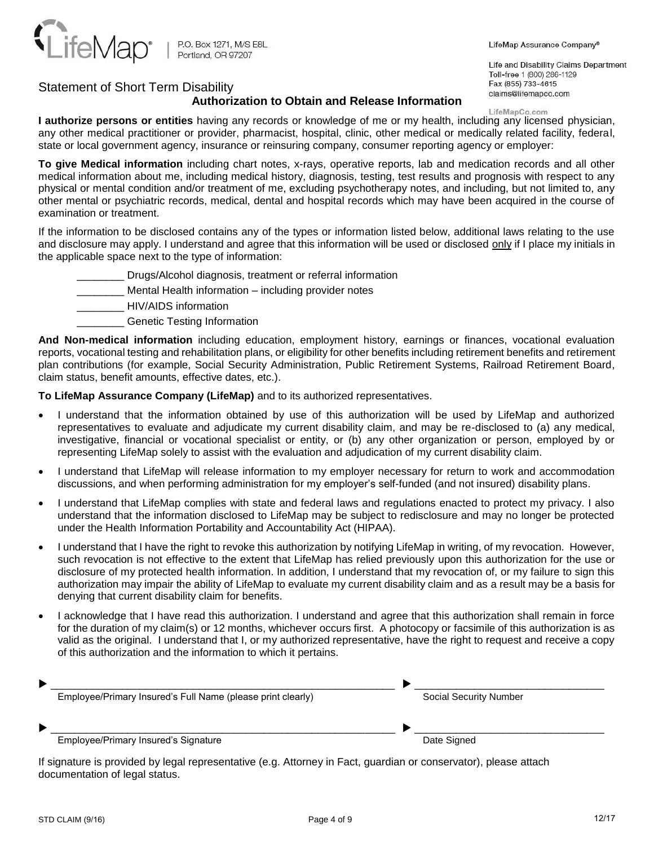

LifeMap Assurance Company®

Life and Disability Claims Department Toll-free 1 (800) 286-1129 Fax (855) 733-4615 claims@lifemapco.com

## **Authorization to Obtain and Release Information**

### LifeMapCo.com

**I authorize persons or entities** having any records or knowledge of me or my health, including any licensed physician, any other medical practitioner or provider, pharmacist, hospital, clinic, other medical or medically related facility, federal, state or local government agency, insurance or reinsuring company, consumer reporting agency or employer:

**To give Medical information** including chart notes, x-rays, operative reports, lab and medication records and all other medical information about me, including medical history, diagnosis, testing, test results and prognosis with respect to any physical or mental condition and/or treatment of me, excluding psychotherapy notes, and including, but not limited to, any other mental or psychiatric records, medical, dental and hospital records which may have been acquired in the course of examination or treatment.

If the information to be disclosed contains any of the types or information listed below, additional laws relating to the use and disclosure may apply. I understand and agree that this information will be used or disclosed only if I place my initials in the applicable space next to the type of information:

- \_\_\_\_\_\_\_\_ Drugs/Alcohol diagnosis, treatment or referral information
- Mental Health information including provider notes
- \_\_\_\_\_\_\_\_ HIV/AIDS information
	- \_\_\_\_\_\_\_\_ Genetic Testing Information

**And Non-medical information** including education, employment history, earnings or finances, vocational evaluation reports, vocational testing and rehabilitation plans, or eligibility for other benefits including retirement benefits and retirement plan contributions (for example, Social Security Administration, Public Retirement Systems, Railroad Retirement Board, claim status, benefit amounts, effective dates, etc.).

**To LifeMap Assurance Company (LifeMap)** and to its authorized representatives.

- I understand that the information obtained by use of this authorization will be used by LifeMap and authorized representatives to evaluate and adjudicate my current disability claim, and may be re-disclosed to (a) any medical, investigative, financial or vocational specialist or entity, or (b) any other organization or person, employed by or representing LifeMap solely to assist with the evaluation and adjudication of my current disability claim.
- I understand that LifeMap will release information to my employer necessary for return to work and accommodation discussions, and when performing administration for my employer's self-funded (and not insured) disability plans.
- I understand that LifeMap complies with state and federal laws and regulations enacted to protect my privacy. I also understand that the information disclosed to LifeMap may be subject to redisclosure and may no longer be protected under the Health Information Portability and Accountability Act (HIPAA).
- I understand that I have the right to revoke this authorization by notifying LifeMap in writing, of my revocation. However, such revocation is not effective to the extent that LifeMap has relied previously upon this authorization for the use or disclosure of my protected health information. In addition, I understand that my revocation of, or my failure to sign this authorization may impair the ability of LifeMap to evaluate my current disability claim and as a result may be a basis for denying that current disability claim for benefits.
- I acknowledge that I have read this authorization. I understand and agree that this authorization shall remain in force for the duration of my claim(s) or 12 months, whichever occurs first. A photocopy or facsimile of this authorization is as valid as the original. I understand that I, or my authorized representative, have the right to request and receive a copy of this authorization and the information to which it pertains.

| Employee/Primary Insured's Full Name (please print clearly) | <b>Social Security Number</b> |
|-------------------------------------------------------------|-------------------------------|
|                                                             |                               |
|                                                             |                               |
| Employee/Primary Insured's Signature                        | Date Signed                   |

If signature is provided by legal representative (e.g. Attorney in Fact, guardian or conservator), please attach documentation of legal status.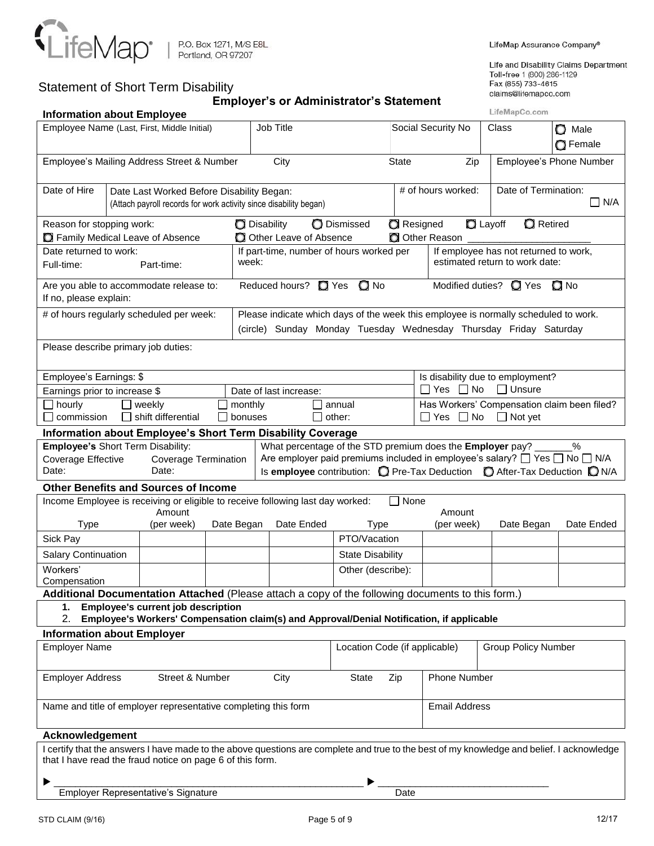

LifeMap Assurance Company®

Life and Disability Claims Department Toll-free 1 (800) 286-1129<br>Fax (855) 733-4615 claims@lifemapco.com

| cialins emeritapco.com<br><b>Employer's or Administrator's Statement</b><br>LifeMapCo.com<br><b>Information about Employee</b>                                                                                                                          |                                                                                                                                                                                                                                                                 |                                                                                                                |            |       |                                                                                                                                                          |                               |              |                                                                                       |                                                                 |  |                                                                         |                         |  |
|---------------------------------------------------------------------------------------------------------------------------------------------------------------------------------------------------------------------------------------------------------|-----------------------------------------------------------------------------------------------------------------------------------------------------------------------------------------------------------------------------------------------------------------|----------------------------------------------------------------------------------------------------------------|------------|-------|----------------------------------------------------------------------------------------------------------------------------------------------------------|-------------------------------|--------------|---------------------------------------------------------------------------------------|-----------------------------------------------------------------|--|-------------------------------------------------------------------------|-------------------------|--|
| Job Title<br>Employee Name (Last, First, Middle Initial)<br>Social Security No<br>Class<br>$\bigcirc$ Male                                                                                                                                              |                                                                                                                                                                                                                                                                 |                                                                                                                |            |       |                                                                                                                                                          |                               |              |                                                                                       |                                                                 |  |                                                                         |                         |  |
|                                                                                                                                                                                                                                                         |                                                                                                                                                                                                                                                                 |                                                                                                                |            |       |                                                                                                                                                          |                               |              |                                                                                       |                                                                 |  | <b>O</b> Female                                                         |                         |  |
|                                                                                                                                                                                                                                                         |                                                                                                                                                                                                                                                                 | Employee's Mailing Address Street & Number                                                                     |            |       | City                                                                                                                                                     |                               | <b>State</b> |                                                                                       | Zip                                                             |  |                                                                         | Employee's Phone Number |  |
| Date of Hire                                                                                                                                                                                                                                            |                                                                                                                                                                                                                                                                 | Date Last Worked Before Disability Began:<br>(Attach payroll records for work activity since disability began) |            |       |                                                                                                                                                          |                               |              |                                                                                       | # of hours worked:                                              |  | Date of Termination:                                                    | $\Box$ N/A              |  |
| <b>Q</b> Retired<br><b>D</b> Disability<br><b>D</b> Dismissed<br><b>Resigned</b><br><b>Q</b> Layoff<br>Reason for stopping work:                                                                                                                        |                                                                                                                                                                                                                                                                 |                                                                                                                |            |       |                                                                                                                                                          |                               |              |                                                                                       |                                                                 |  |                                                                         |                         |  |
| Family Medical Leave of Absence<br>O Other Leave of Absence<br>O Other Reason<br>If part-time, number of hours worked per                                                                                                                               |                                                                                                                                                                                                                                                                 |                                                                                                                |            |       |                                                                                                                                                          |                               |              |                                                                                       |                                                                 |  |                                                                         |                         |  |
| Date returned to work:<br>Full-time:                                                                                                                                                                                                                    |                                                                                                                                                                                                                                                                 | Part-time:                                                                                                     |            | week: |                                                                                                                                                          |                               |              |                                                                                       |                                                                 |  | If employee has not returned to work,<br>estimated return to work date: |                         |  |
| If no, please explain:                                                                                                                                                                                                                                  |                                                                                                                                                                                                                                                                 | Are you able to accommodate release to:                                                                        |            |       | Reduced hours? <sup>2</sup> Yes <sup>2</sup> No                                                                                                          |                               |              |                                                                                       | Modified duties? <sup>1</sup> Yes                               |  |                                                                         | $\Box$ No               |  |
|                                                                                                                                                                                                                                                         |                                                                                                                                                                                                                                                                 | # of hours regularly scheduled per week:                                                                       |            |       | Please indicate which days of the week this employee is normally scheduled to work.<br>(circle) Sunday Monday Tuesday Wednesday Thursday Friday Saturday |                               |              |                                                                                       |                                                                 |  |                                                                         |                         |  |
| Please describe primary job duties:                                                                                                                                                                                                                     |                                                                                                                                                                                                                                                                 |                                                                                                                |            |       |                                                                                                                                                          |                               |              |                                                                                       |                                                                 |  |                                                                         |                         |  |
| Employee's Earnings: \$                                                                                                                                                                                                                                 |                                                                                                                                                                                                                                                                 |                                                                                                                |            |       |                                                                                                                                                          |                               |              |                                                                                       |                                                                 |  |                                                                         |                         |  |
| Earnings prior to increase \$                                                                                                                                                                                                                           |                                                                                                                                                                                                                                                                 |                                                                                                                |            |       | Date of last increase:                                                                                                                                   |                               |              |                                                                                       | Is disability due to employment?<br>$\Box$ Unsure<br>∐ Yes ∐ No |  |                                                                         |                         |  |
| $\Box$ hourly<br>monthly<br>weekly<br>$\Box$ shift differential<br>$\Box$ commission<br>bonuses                                                                                                                                                         |                                                                                                                                                                                                                                                                 |                                                                                                                |            |       |                                                                                                                                                          | annual<br>other:              |              | Has Workers' Compensation claim been filed?<br>$\Box$ Not yet<br>$\Box$ Yes $\Box$ No |                                                                 |  |                                                                         |                         |  |
|                                                                                                                                                                                                                                                         |                                                                                                                                                                                                                                                                 |                                                                                                                |            |       | Information about Employee's Short Term Disability Coverage                                                                                              |                               |              |                                                                                       |                                                                 |  |                                                                         |                         |  |
| <b>Employee's Short Term Disability:</b>                                                                                                                                                                                                                |                                                                                                                                                                                                                                                                 |                                                                                                                |            |       | What percentage of the STD premium does the Employer pay? _                                                                                              |                               |              |                                                                                       |                                                                 |  |                                                                         | $\%$                    |  |
| Date:                                                                                                                                                                                                                                                   | Are employer paid premiums included in employee's salary? $\Box$ Yes $\Box$ No $\Box$ N/A<br>Coverage Effective<br><b>Coverage Termination</b><br>Date:<br>Is employee contribution: $\bigcirc$ Pre-Tax Deduction $\bigcirc$ After-Tax Deduction $\bigcirc$ N/A |                                                                                                                |            |       |                                                                                                                                                          |                               |              |                                                                                       |                                                                 |  |                                                                         |                         |  |
| <b>Other Benefits and Sources of Income</b>                                                                                                                                                                                                             |                                                                                                                                                                                                                                                                 |                                                                                                                |            |       |                                                                                                                                                          |                               |              |                                                                                       |                                                                 |  |                                                                         |                         |  |
| Income Employee is receiving or eligible to receive following last day worked:<br>None<br>Amount<br>Amount                                                                                                                                              |                                                                                                                                                                                                                                                                 |                                                                                                                |            |       |                                                                                                                                                          |                               |              |                                                                                       |                                                                 |  |                                                                         |                         |  |
| <b>Type</b>                                                                                                                                                                                                                                             |                                                                                                                                                                                                                                                                 | (per week)                                                                                                     | Date Began |       | Date Ended                                                                                                                                               | <b>Type</b>                   |              |                                                                                       | (per week)                                                      |  | Date Began                                                              | Date Ended              |  |
| Sick Pay                                                                                                                                                                                                                                                |                                                                                                                                                                                                                                                                 |                                                                                                                |            |       |                                                                                                                                                          | PTO/Vacation                  |              |                                                                                       |                                                                 |  |                                                                         |                         |  |
| <b>Salary Continuation</b>                                                                                                                                                                                                                              |                                                                                                                                                                                                                                                                 |                                                                                                                |            |       |                                                                                                                                                          | <b>State Disability</b>       |              |                                                                                       |                                                                 |  |                                                                         |                         |  |
| Workers'<br>Compensation                                                                                                                                                                                                                                |                                                                                                                                                                                                                                                                 |                                                                                                                |            |       |                                                                                                                                                          | Other (describe):             |              |                                                                                       |                                                                 |  |                                                                         |                         |  |
|                                                                                                                                                                                                                                                         |                                                                                                                                                                                                                                                                 |                                                                                                                |            |       |                                                                                                                                                          |                               |              |                                                                                       |                                                                 |  |                                                                         |                         |  |
| Additional Documentation Attached (Please attach a copy of the following documents to this form.)<br><b>Employee's current job description</b><br>1.<br>2.<br>Employee's Workers' Compensation claim(s) and Approval/Denial Notification, if applicable |                                                                                                                                                                                                                                                                 |                                                                                                                |            |       |                                                                                                                                                          |                               |              |                                                                                       |                                                                 |  |                                                                         |                         |  |
| <b>Information about Employer</b>                                                                                                                                                                                                                       |                                                                                                                                                                                                                                                                 |                                                                                                                |            |       |                                                                                                                                                          |                               |              |                                                                                       |                                                                 |  |                                                                         |                         |  |
| <b>Employer Name</b>                                                                                                                                                                                                                                    |                                                                                                                                                                                                                                                                 |                                                                                                                |            |       |                                                                                                                                                          | Location Code (if applicable) |              |                                                                                       |                                                                 |  | <b>Group Policy Number</b>                                              |                         |  |
| Street & Number<br><b>Phone Number</b><br><b>Employer Address</b><br>City<br>State<br>Zip                                                                                                                                                               |                                                                                                                                                                                                                                                                 |                                                                                                                |            |       |                                                                                                                                                          |                               |              |                                                                                       |                                                                 |  |                                                                         |                         |  |
| Name and title of employer representative completing this form                                                                                                                                                                                          |                                                                                                                                                                                                                                                                 |                                                                                                                |            |       |                                                                                                                                                          | <b>Email Address</b>          |              |                                                                                       |                                                                 |  |                                                                         |                         |  |
| Acknowledgement                                                                                                                                                                                                                                         |                                                                                                                                                                                                                                                                 |                                                                                                                |            |       |                                                                                                                                                          |                               |              |                                                                                       |                                                                 |  |                                                                         |                         |  |
| I certify that the answers I have made to the above questions are complete and true to the best of my knowledge and belief. I acknowledge<br>that I have read the fraud notice on page 6 of this form.                                                  |                                                                                                                                                                                                                                                                 |                                                                                                                |            |       |                                                                                                                                                          |                               |              |                                                                                       |                                                                 |  |                                                                         |                         |  |
|                                                                                                                                                                                                                                                         |                                                                                                                                                                                                                                                                 |                                                                                                                |            |       |                                                                                                                                                          |                               |              |                                                                                       |                                                                 |  |                                                                         |                         |  |
|                                                                                                                                                                                                                                                         | Employer Representative's Signature<br>Date                                                                                                                                                                                                                     |                                                                                                                |            |       |                                                                                                                                                          |                               |              |                                                                                       |                                                                 |  |                                                                         |                         |  |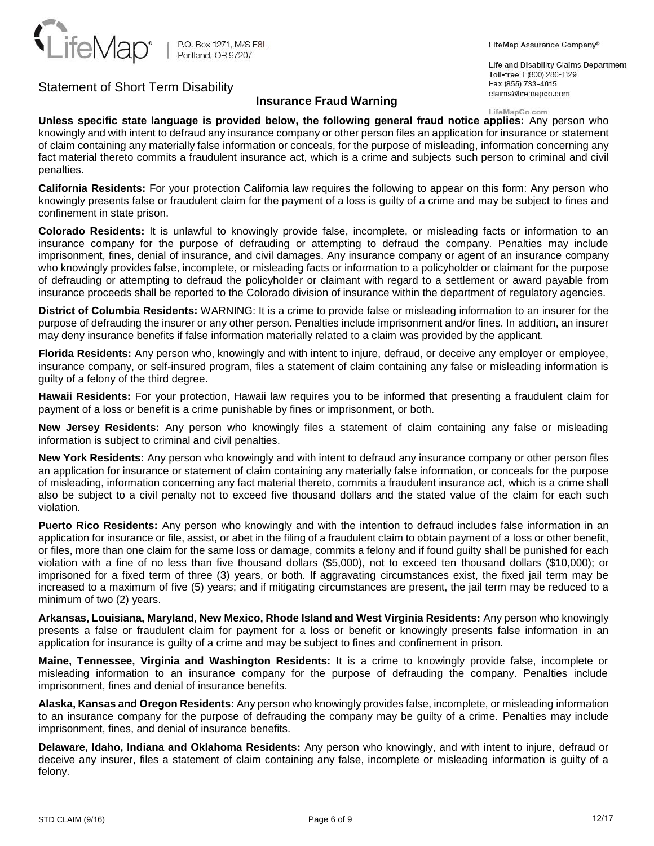

## **Insurance Fraud Warning**

LifeMap Assurance Company®

Life and Disability Claims Department Toll-free 1 (800) 286-1129 Fax (855) 733-4615 claims@lifemapco.com

### LifeMapCo.com

**Unless specific state language is provided below, the following general fraud notice applies:** Any person who knowingly and with intent to defraud any insurance company or other person files an application for insurance or statement of claim containing any materially false information or conceals, for the purpose of misleading, information concerning any fact material thereto commits a fraudulent insurance act, which is a crime and subjects such person to criminal and civil penalties.

**California Residents:** For your protection California law requires the following to appear on this form: Any person who knowingly presents false or fraudulent claim for the payment of a loss is guilty of a crime and may be subject to fines and confinement in state prison.

**Colorado Residents:** It is unlawful to knowingly provide false, incomplete, or misleading facts or information to an insurance company for the purpose of defrauding or attempting to defraud the company. Penalties may include imprisonment, fines, denial of insurance, and civil damages. Any insurance company or agent of an insurance company who knowingly provides false, incomplete, or misleading facts or information to a policyholder or claimant for the purpose of defrauding or attempting to defraud the policyholder or claimant with regard to a settlement or award payable from insurance proceeds shall be reported to the Colorado division of insurance within the department of regulatory agencies.

**District of Columbia Residents:** WARNING: It is a crime to provide false or misleading information to an insurer for the purpose of defrauding the insurer or any other person. Penalties include imprisonment and/or fines. In addition, an insurer may deny insurance benefits if false information materially related to a claim was provided by the applicant.

**Florida Residents:** Any person who, knowingly and with intent to injure, defraud, or deceive any employer or employee, insurance company, or self-insured program, files a statement of claim containing any false or misleading information is guilty of a felony of the third degree.

**Hawaii Residents:** For your protection, Hawaii law requires you to be informed that presenting a fraudulent claim for payment of a loss or benefit is a crime punishable by fines or imprisonment, or both.

**New Jersey Residents:** Any person who knowingly files a statement of claim containing any false or misleading information is subject to criminal and civil penalties.

**New York Residents:** Any person who knowingly and with intent to defraud any insurance company or other person files an application for insurance or statement of claim containing any materially false information, or conceals for the purpose of misleading, information concerning any fact material thereto, commits a fraudulent insurance act, which is a crime shall also be subject to a civil penalty not to exceed five thousand dollars and the stated value of the claim for each such violation.

**Puerto Rico Residents:** Any person who knowingly and with the intention to defraud includes false information in an application for insurance or file, assist, or abet in the filing of a fraudulent claim to obtain payment of a loss or other benefit, or files, more than one claim for the same loss or damage, commits a felony and if found guilty shall be punished for each violation with a fine of no less than five thousand dollars (\$5,000), not to exceed ten thousand dollars (\$10,000); or imprisoned for a fixed term of three (3) years, or both. If aggravating circumstances exist, the fixed jail term may be increased to a maximum of five (5) years; and if mitigating circumstances are present, the jail term may be reduced to a minimum of two (2) years.

**Arkansas, Louisiana, Maryland, New Mexico, Rhode Island and West Virginia Residents:** Any person who knowingly presents a false or fraudulent claim for payment for a loss or benefit or knowingly presents false information in an application for insurance is guilty of a crime and may be subject to fines and confinement in prison.

**Maine, Tennessee, Virginia and Washington Residents:** It is a crime to knowingly provide false, incomplete or misleading information to an insurance company for the purpose of defrauding the company. Penalties include imprisonment, fines and denial of insurance benefits.

**Alaska, Kansas and Oregon Residents:** Any person who knowingly provides false, incomplete, or misleading information to an insurance company for the purpose of defrauding the company may be guilty of a crime. Penalties may include imprisonment, fines, and denial of insurance benefits.

**Delaware, Idaho, Indiana and Oklahoma Residents:** Any person who knowingly, and with intent to injure, defraud or deceive any insurer, files a statement of claim containing any false, incomplete or misleading information is guilty of a felony.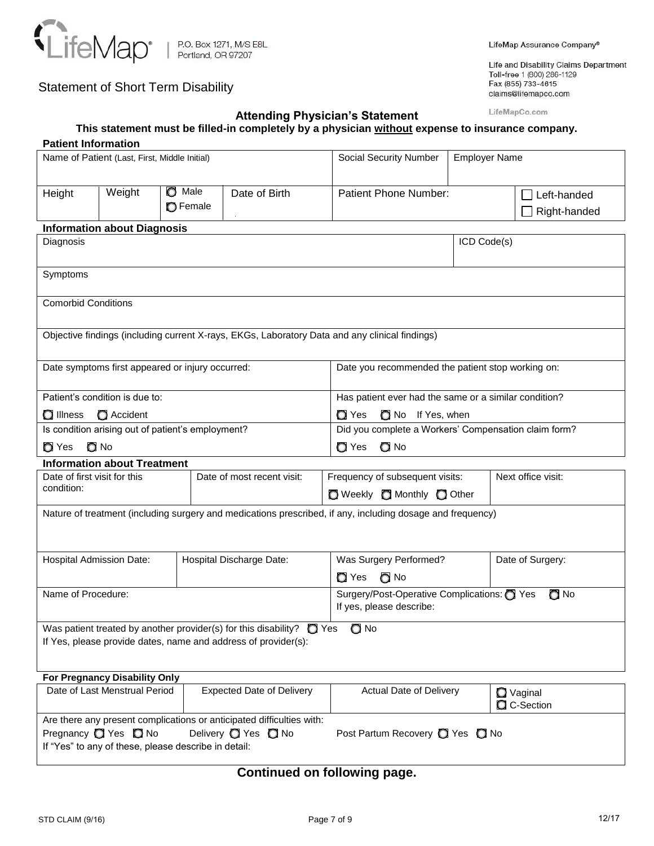

# **Attending Physician's Statement**

Life and Disability Claims Department Toll-free 1 (800) 286-1129 Fax (855) 733-4615 claims@lifemapco.com

LifeMapCo.com

| This statement must be filled-in completely by a physician without expense to insurance company. |  |
|--------------------------------------------------------------------------------------------------|--|
|--------------------------------------------------------------------------------------------------|--|

| <b>Patient Information</b>   |                                                   |                 |                                                                                                                                              |                                                                                                            |                                                       |                                 |  |  |  |  |
|------------------------------|---------------------------------------------------|-----------------|----------------------------------------------------------------------------------------------------------------------------------------------|------------------------------------------------------------------------------------------------------------|-------------------------------------------------------|---------------------------------|--|--|--|--|
|                              | Name of Patient (Last, First, Middle Initial)     |                 |                                                                                                                                              | <b>Social Security Number</b>                                                                              | <b>Employer Name</b>                                  |                                 |  |  |  |  |
|                              |                                                   |                 |                                                                                                                                              |                                                                                                            |                                                       |                                 |  |  |  |  |
| Height                       | Weight                                            | $\bullet$ Male  | Date of Birth                                                                                                                                | <b>Patient Phone Number:</b>                                                                               |                                                       | $\Box$ Left-handed              |  |  |  |  |
|                              |                                                   | <b>O</b> Female |                                                                                                                                              |                                                                                                            |                                                       | Right-handed                    |  |  |  |  |
|                              | <b>Information about Diagnosis</b>                |                 |                                                                                                                                              |                                                                                                            |                                                       |                                 |  |  |  |  |
| Diagnosis                    |                                                   |                 |                                                                                                                                              |                                                                                                            | ICD Code(s)                                           |                                 |  |  |  |  |
|                              |                                                   |                 |                                                                                                                                              |                                                                                                            |                                                       |                                 |  |  |  |  |
| Symptoms                     |                                                   |                 |                                                                                                                                              |                                                                                                            |                                                       |                                 |  |  |  |  |
|                              |                                                   |                 |                                                                                                                                              |                                                                                                            |                                                       |                                 |  |  |  |  |
| <b>Comorbid Conditions</b>   |                                                   |                 |                                                                                                                                              |                                                                                                            |                                                       |                                 |  |  |  |  |
|                              |                                                   |                 |                                                                                                                                              |                                                                                                            |                                                       |                                 |  |  |  |  |
|                              |                                                   |                 |                                                                                                                                              | Objective findings (including current X-rays, EKGs, Laboratory Data and any clinical findings)             |                                                       |                                 |  |  |  |  |
|                              |                                                   |                 |                                                                                                                                              |                                                                                                            |                                                       |                                 |  |  |  |  |
|                              | Date symptoms first appeared or injury occurred:  |                 |                                                                                                                                              | Date you recommended the patient stop working on:                                                          |                                                       |                                 |  |  |  |  |
|                              |                                                   |                 |                                                                                                                                              |                                                                                                            |                                                       |                                 |  |  |  |  |
|                              | Patient's condition is due to:                    |                 |                                                                                                                                              |                                                                                                            | Has patient ever had the same or a similar condition? |                                 |  |  |  |  |
| <b>O</b> Illness             | Accident                                          |                 |                                                                                                                                              | <b>O</b> Yes                                                                                               | No If Yes, when                                       |                                 |  |  |  |  |
|                              | Is condition arising out of patient's employment? |                 |                                                                                                                                              | Did you complete a Workers' Compensation claim form?                                                       |                                                       |                                 |  |  |  |  |
| <b>O</b> Yes<br>O No         |                                                   |                 |                                                                                                                                              | $\Box$ No<br><b>O</b> Yes                                                                                  |                                                       |                                 |  |  |  |  |
|                              | <b>Information about Treatment</b>                |                 |                                                                                                                                              |                                                                                                            |                                                       |                                 |  |  |  |  |
| Date of first visit for this |                                                   |                 | Date of most recent visit:                                                                                                                   | Frequency of subsequent visits:                                                                            |                                                       | Next office visit:              |  |  |  |  |
| condition:                   |                                                   |                 |                                                                                                                                              | O Weekly O Monthly O Other                                                                                 |                                                       |                                 |  |  |  |  |
|                              |                                                   |                 |                                                                                                                                              | Nature of treatment (including surgery and medications prescribed, if any, including dosage and frequency) |                                                       |                                 |  |  |  |  |
|                              |                                                   |                 |                                                                                                                                              |                                                                                                            |                                                       |                                 |  |  |  |  |
|                              |                                                   |                 |                                                                                                                                              |                                                                                                            |                                                       |                                 |  |  |  |  |
| Hospital Admission Date:     |                                                   |                 | Hospital Discharge Date:                                                                                                                     | Was Surgery Performed?                                                                                     |                                                       | Date of Surgery:                |  |  |  |  |
|                              |                                                   |                 |                                                                                                                                              | $\bigcirc$ No<br>$\Box$ Yes                                                                                |                                                       |                                 |  |  |  |  |
| Name of Procedure:           |                                                   |                 |                                                                                                                                              | Surgery/Post-Operative Complications: C Yes                                                                |                                                       | $\Box$ No                       |  |  |  |  |
|                              |                                                   |                 |                                                                                                                                              | If yes, please describe:                                                                                   |                                                       |                                 |  |  |  |  |
|                              |                                                   |                 |                                                                                                                                              |                                                                                                            |                                                       |                                 |  |  |  |  |
|                              |                                                   |                 | Was patient treated by another provider(s) for this disability? $\Box$ Yes<br>If Yes, please provide dates, name and address of provider(s): | $\Box$ No                                                                                                  |                                                       |                                 |  |  |  |  |
|                              |                                                   |                 |                                                                                                                                              |                                                                                                            |                                                       |                                 |  |  |  |  |
|                              |                                                   |                 |                                                                                                                                              |                                                                                                            |                                                       |                                 |  |  |  |  |
|                              | For Pregnancy Disability Only                     |                 |                                                                                                                                              |                                                                                                            |                                                       |                                 |  |  |  |  |
|                              | Date of Last Menstrual Period                     |                 | <b>Expected Date of Delivery</b>                                                                                                             | Actual Date of Delivery                                                                                    |                                                       | <b>Q</b> Vaginal<br>C C-Section |  |  |  |  |
|                              |                                                   |                 |                                                                                                                                              |                                                                                                            |                                                       |                                 |  |  |  |  |
|                              | Pregnancy <b>O</b> Yes <b>O</b> No                |                 | Are there any present complications or anticipated difficulties with:<br>Delivery <sup>1</sup> Yes <sup>1</sup> No                           | Post Partum Recovery 2 Yes 2 No                                                                            |                                                       |                                 |  |  |  |  |
|                              |                                                   |                 |                                                                                                                                              |                                                                                                            |                                                       |                                 |  |  |  |  |

# **Continued on following page.**

If "Yes" to any of these, please describe in detail: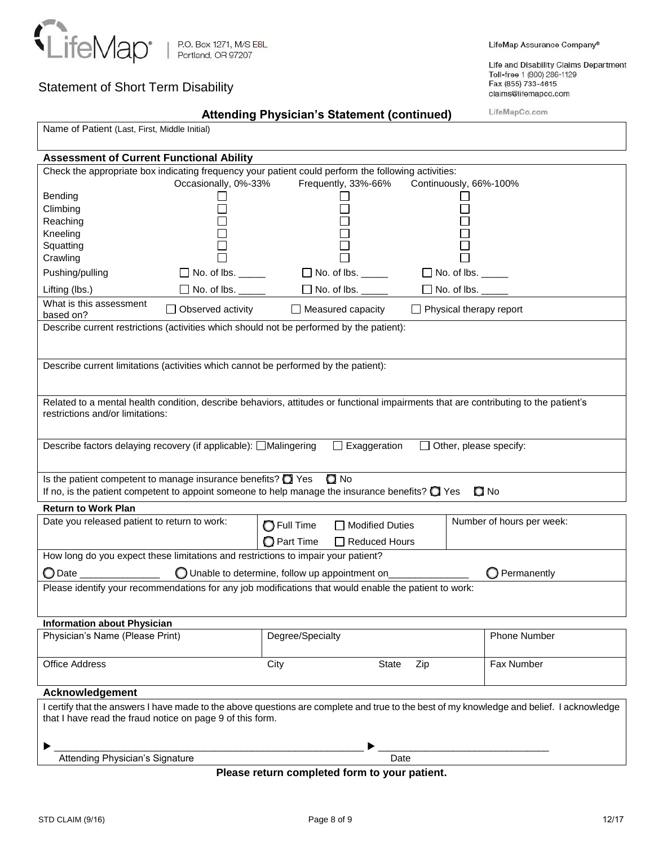

Life and Disability Claims Department Toll-free 1 (800) 286-1129 Fax (855) 733-4615 claims@lifemapco.com

LifeMapCo.com

| Name of Patient (Last, First, Middle Initial)                                                                                             |                                                 |                    |                           |                                |                           |  |  |  |  |
|-------------------------------------------------------------------------------------------------------------------------------------------|-------------------------------------------------|--------------------|---------------------------|--------------------------------|---------------------------|--|--|--|--|
| <b>Assessment of Current Functional Ability</b>                                                                                           |                                                 |                    |                           |                                |                           |  |  |  |  |
| Check the appropriate box indicating frequency your patient could perform the following activities:                                       |                                                 |                    |                           |                                |                           |  |  |  |  |
|                                                                                                                                           | Occasionally, 0%-33%                            |                    | Frequently, 33%-66%       | Continuously, 66%-100%         |                           |  |  |  |  |
| Bending<br>Climbing                                                                                                                       |                                                 |                    |                           |                                |                           |  |  |  |  |
| Reaching                                                                                                                                  |                                                 |                    |                           |                                |                           |  |  |  |  |
| Kneeling                                                                                                                                  |                                                 |                    |                           |                                |                           |  |  |  |  |
| Squatting                                                                                                                                 |                                                 |                    |                           |                                |                           |  |  |  |  |
| Crawling                                                                                                                                  |                                                 |                    |                           |                                |                           |  |  |  |  |
| Pushing/pulling                                                                                                                           | $\Box$ No. of lbs. $\Box$                       |                    | $\Box$ No. of lbs. $\Box$ | $\Box$ No. of lbs. _____       |                           |  |  |  |  |
| Lifting (lbs.)                                                                                                                            | $\Box$ No. of lbs. $\_\_$                       |                    | $\Box$ No. of lbs. $\_$   | $\Box$ No. of lbs. $\Box$      |                           |  |  |  |  |
| What is this assessment<br>based on?                                                                                                      | Observed activity                               |                    | $\Box$ Measured capacity  | $\Box$ Physical therapy report |                           |  |  |  |  |
| Describe current restrictions (activities which should not be performed by the patient):                                                  |                                                 |                    |                           |                                |                           |  |  |  |  |
|                                                                                                                                           |                                                 |                    |                           |                                |                           |  |  |  |  |
| Describe current limitations (activities which cannot be performed by the patient):                                                       |                                                 |                    |                           |                                |                           |  |  |  |  |
|                                                                                                                                           |                                                 |                    |                           |                                |                           |  |  |  |  |
| Related to a mental health condition, describe behaviors, attitudes or functional impairments that are contributing to the patient's      |                                                 |                    |                           |                                |                           |  |  |  |  |
| restrictions and/or limitations:                                                                                                          |                                                 |                    |                           |                                |                           |  |  |  |  |
|                                                                                                                                           |                                                 |                    |                           |                                |                           |  |  |  |  |
| Describe factors delaying recovery (if applicable): □Malingering                                                                          |                                                 |                    | $\Box$ Exaggeration       | Other, please specify:         |                           |  |  |  |  |
|                                                                                                                                           |                                                 |                    |                           |                                |                           |  |  |  |  |
| $\Box$ No<br>Is the patient competent to manage insurance benefits? $\bigcirc$ Yes                                                        |                                                 |                    |                           |                                |                           |  |  |  |  |
| If no, is the patient competent to appoint someone to help manage the insurance benefits? $\bigcirc$ Yes                                  |                                                 |                    |                           |                                | $\Box$ No                 |  |  |  |  |
| <b>Return to Work Plan</b>                                                                                                                |                                                 |                    |                           |                                |                           |  |  |  |  |
| Date you released patient to return to work:                                                                                              |                                                 | <b>O</b> Full Time | Modified Duties           |                                | Number of hours per week: |  |  |  |  |
|                                                                                                                                           |                                                 | <b>O</b> Part Time | $\Box$ Reduced Hours      |                                |                           |  |  |  |  |
| How long do you expect these limitations and restrictions to impair your patient?                                                         |                                                 |                    |                           |                                |                           |  |  |  |  |
|                                                                                                                                           |                                                 |                    |                           |                                |                           |  |  |  |  |
| $\bigcirc$ Date $\_$                                                                                                                      | O Unable to determine, follow up appointment on |                    |                           |                                | Permanently               |  |  |  |  |
| Please identify your recommendations for any job modifications that would enable the patient to work:                                     |                                                 |                    |                           |                                |                           |  |  |  |  |
|                                                                                                                                           |                                                 |                    |                           |                                |                           |  |  |  |  |
| <b>Information about Physician</b>                                                                                                        |                                                 |                    |                           |                                |                           |  |  |  |  |
| Physician's Name (Please Print)                                                                                                           |                                                 | Degree/Specialty   |                           |                                | Phone Number              |  |  |  |  |
|                                                                                                                                           |                                                 |                    |                           |                                |                           |  |  |  |  |
| <b>Office Address</b>                                                                                                                     |                                                 | City               | <b>State</b>              | Zip                            | Fax Number                |  |  |  |  |
| Acknowledgement                                                                                                                           |                                                 |                    |                           |                                |                           |  |  |  |  |
| I certify that the answers I have made to the above questions are complete and true to the best of my knowledge and belief. I acknowledge |                                                 |                    |                           |                                |                           |  |  |  |  |
| that I have read the fraud notice on page 9 of this form.                                                                                 |                                                 |                    |                           |                                |                           |  |  |  |  |
|                                                                                                                                           |                                                 |                    |                           |                                |                           |  |  |  |  |
|                                                                                                                                           |                                                 |                    |                           |                                |                           |  |  |  |  |
| Attending Physician's Signature                                                                                                           |                                                 |                    | Date                      |                                |                           |  |  |  |  |

**Attending Physician's Statement (continued)** 

**Please return completed form to your patient.**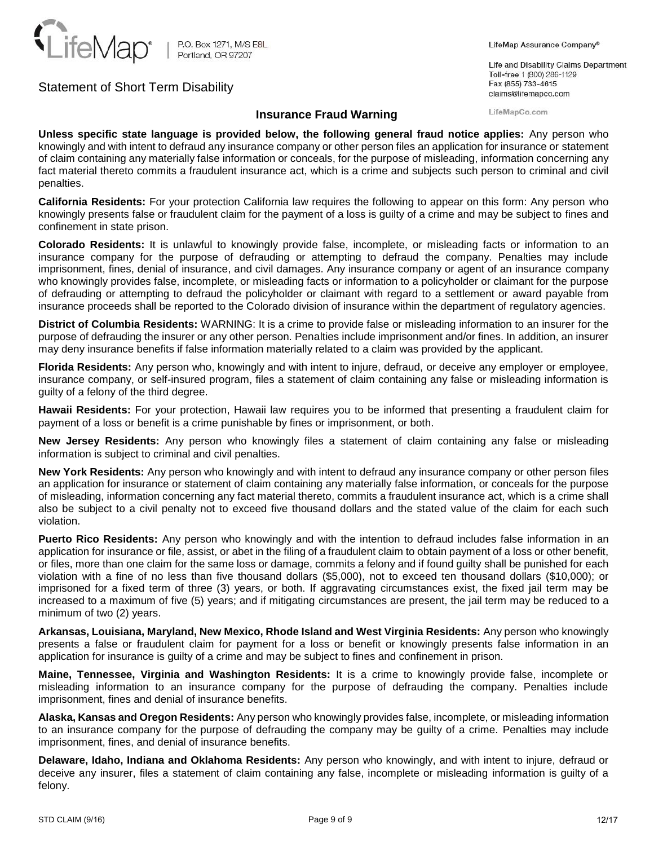

### LifeMap Assurance Company®

Life and Disability Claims Department Toll-free 1 (800) 286-1129 Fax (855) 733-4615 claims@lifemapco.com

LifeMapCo.com

## **Insurance Fraud Warning**

**Unless specific state language is provided below, the following general fraud notice applies:** Any person who knowingly and with intent to defraud any insurance company or other person files an application for insurance or statement of claim containing any materially false information or conceals, for the purpose of misleading, information concerning any fact material thereto commits a fraudulent insurance act, which is a crime and subjects such person to criminal and civil penalties.

**California Residents:** For your protection California law requires the following to appear on this form: Any person who knowingly presents false or fraudulent claim for the payment of a loss is guilty of a crime and may be subject to fines and confinement in state prison.

**Colorado Residents:** It is unlawful to knowingly provide false, incomplete, or misleading facts or information to an insurance company for the purpose of defrauding or attempting to defraud the company. Penalties may include imprisonment, fines, denial of insurance, and civil damages. Any insurance company or agent of an insurance company who knowingly provides false, incomplete, or misleading facts or information to a policyholder or claimant for the purpose of defrauding or attempting to defraud the policyholder or claimant with regard to a settlement or award payable from insurance proceeds shall be reported to the Colorado division of insurance within the department of regulatory agencies.

**District of Columbia Residents:** WARNING: It is a crime to provide false or misleading information to an insurer for the purpose of defrauding the insurer or any other person. Penalties include imprisonment and/or fines. In addition, an insurer may deny insurance benefits if false information materially related to a claim was provided by the applicant.

**Florida Residents:** Any person who, knowingly and with intent to injure, defraud, or deceive any employer or employee, insurance company, or self-insured program, files a statement of claim containing any false or misleading information is guilty of a felony of the third degree.

**Hawaii Residents:** For your protection, Hawaii law requires you to be informed that presenting a fraudulent claim for payment of a loss or benefit is a crime punishable by fines or imprisonment, or both.

**New Jersey Residents:** Any person who knowingly files a statement of claim containing any false or misleading information is subject to criminal and civil penalties.

**New York Residents:** Any person who knowingly and with intent to defraud any insurance company or other person files an application for insurance or statement of claim containing any materially false information, or conceals for the purpose of misleading, information concerning any fact material thereto, commits a fraudulent insurance act, which is a crime shall also be subject to a civil penalty not to exceed five thousand dollars and the stated value of the claim for each such violation.

**Puerto Rico Residents:** Any person who knowingly and with the intention to defraud includes false information in an application for insurance or file, assist, or abet in the filing of a fraudulent claim to obtain payment of a loss or other benefit, or files, more than one claim for the same loss or damage, commits a felony and if found guilty shall be punished for each violation with a fine of no less than five thousand dollars (\$5,000), not to exceed ten thousand dollars (\$10,000); or imprisoned for a fixed term of three (3) years, or both. If aggravating circumstances exist, the fixed jail term may be increased to a maximum of five (5) years; and if mitigating circumstances are present, the jail term may be reduced to a minimum of two (2) years.

**Arkansas, Louisiana, Maryland, New Mexico, Rhode Island and West Virginia Residents:** Any person who knowingly presents a false or fraudulent claim for payment for a loss or benefit or knowingly presents false information in an application for insurance is guilty of a crime and may be subject to fines and confinement in prison.

**Maine, Tennessee, Virginia and Washington Residents:** It is a crime to knowingly provide false, incomplete or misleading information to an insurance company for the purpose of defrauding the company. Penalties include imprisonment, fines and denial of insurance benefits.

**Alaska, Kansas and Oregon Residents:** Any person who knowingly provides false, incomplete, or misleading information to an insurance company for the purpose of defrauding the company may be guilty of a crime. Penalties may include imprisonment, fines, and denial of insurance benefits.

**Delaware, Idaho, Indiana and Oklahoma Residents:** Any person who knowingly, and with intent to injure, defraud or deceive any insurer, files a statement of claim containing any false, incomplete or misleading information is guilty of a felony.